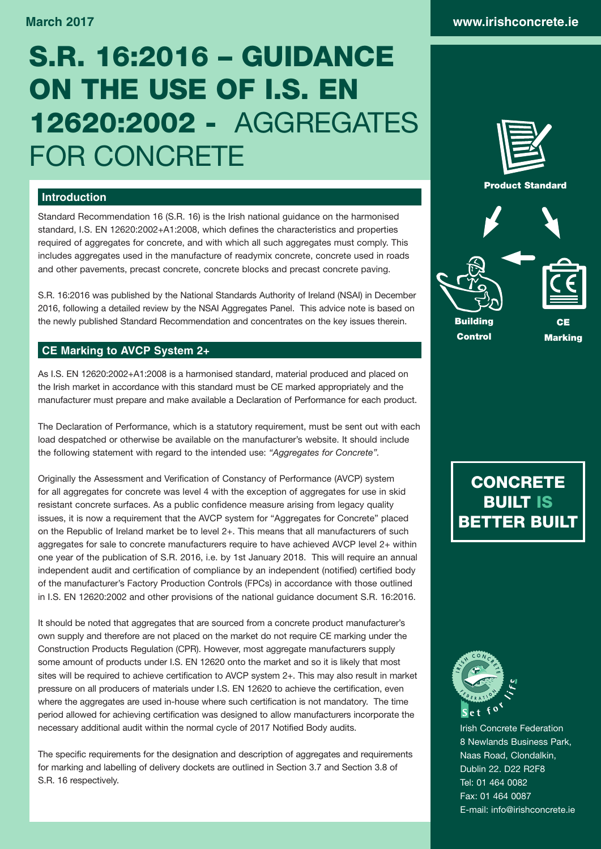# S.R. 16:2016 – GUIDANCE ON THE USE OF I.S. EN 12620:2002 - AGGREGATES

### **Introduction**

Standard Recommendation 16 (S.R. 16) is the Irish national guidance on the harmonised standard, I.S. EN 12620:2002+A1:2008, which defines the characteristics and properties required of aggregates for concrete, and with which all such aggregates must comply. This includes aggregates used in the manufacture of readymix concrete, concrete used in roads and other pavements, precast concrete, concrete blocks and precast concrete paving.

S.R. 16:2016 was published by the National Standards Authority of Ireland (NSAI) in December 2016, following a detailed review by the NSAI Aggregates Panel. This advice note is based on the newly published Standard Recommendation and concentrates on the key issues therein.

## **CE Marking to AVCP System 2+**

FOR CONCRETE

As I.S. EN 12620:2002+A1:2008 is a harmonised standard, material produced and placed on the Irish market in accordance with this standard must be CE marked appropriately and the manufacturer must prepare and make available a Declaration of Performance for each product.

The Declaration of Performance, which is a statutory requirement, must be sent out with each load despatched or otherwise be available on the manufacturer's website. It should include the following statement with regard to the intended use: *"Aggregates for Concrete".*

Originally the Assessment and Verification of Constancy of Performance (AVCP) system for all aggregates for concrete was level 4 with the exception of aggregates for use in skid resistant concrete surfaces. As a public confidence measure arising from legacy quality issues, it is now a requirement that the AVCP system for "Aggregates for Concrete" placed on the Republic of Ireland market be to level 2+. This means that all manufacturers of such aggregates for sale to concrete manufacturers require to have achieved AVCP level 2+ within one year of the publication of S.R. 2016, i.e. by 1st January 2018. This will require an annual independent audit and certification of compliance by an independent (notified) certified body of the manufacturer's Factory Production Controls (FPCs) in accordance with those outlined in I.S. EN 12620:2002 and other provisions of the national guidance document S.R. 16:2016.

It should be noted that aggregates that are sourced from a concrete product manufacturer's own supply and therefore are not placed on the market do not require CE marking under the Construction Products Regulation (CPR). However, most aggregate manufacturers supply some amount of products under I.S. EN 12620 onto the market and so it is likely that most sites will be required to achieve certification to AVCP system 2+. This may also result in market pressure on all producers of materials under I.S. EN 12620 to achieve the certification, even where the aggregates are used in-house where such certification is not mandatory. The time period allowed for achieving certification was designed to allow manufacturers incorporate the necessary additional audit within the normal cycle of 2017 Notified Body audits.

The specific requirements for the designation and description of aggregates and requirements for marking and labelling of delivery dockets are outlined in Section 3.7 and Section 3.8 of S.R. 16 respectively.



Control

Marking

# **CONCRETE** BUILT IS BETTER BUILT



Irish Concrete Federation 8 Newlands Business Park, Naas Road, Clondalkin, Dublin 22. D22 R2F8 Tel: 01 464 0082 Fax: 01 464 0087 E-mail: info@irishconcrete.ie